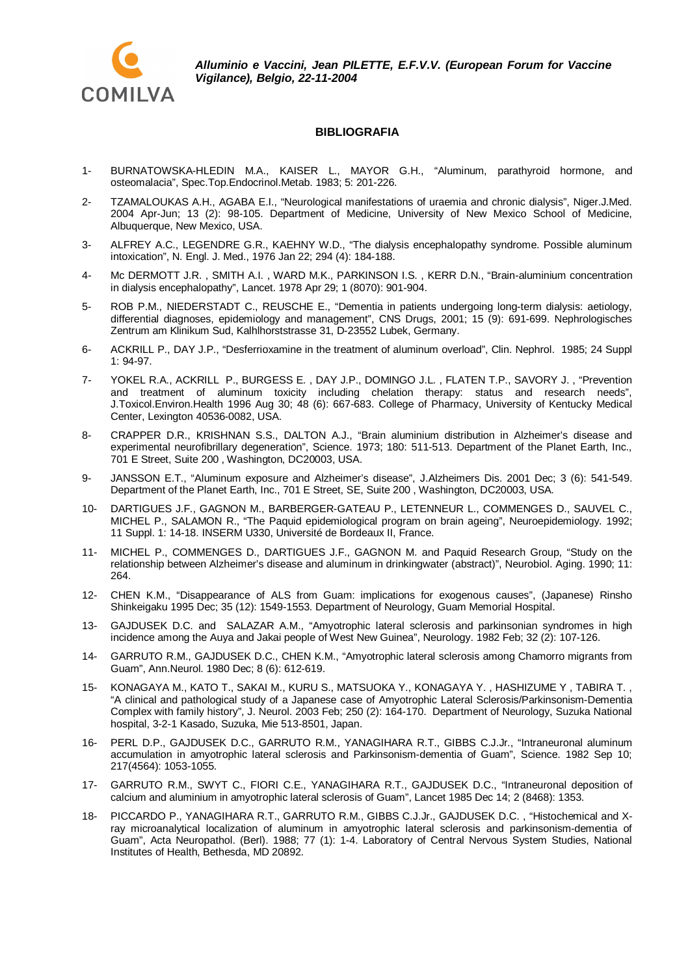

## **BIBLIOGRAFIA**

- 1- BURNATOWSKA-HLEDIN M.A., KAISER L., MAYOR G.H., "Aluminum, parathyroid hormone, and osteomalacia", Spec.Top.Endocrinol.Metab. 1983; 5: 201-226.
- 2- TZAMALOUKAS A.H., AGABA E.I., "Neurological manifestations of uraemia and chronic dialysis", Niger.J.Med. 2004 Apr-Jun; 13 (2): 98-105. Department of Medicine, University of New Mexico School of Medicine, Albuquerque, New Mexico, USA.
- 3- ALFREY A.C., LEGENDRE G.R., KAEHNY W.D., "The dialysis encephalopathy syndrome. Possible aluminum intoxication", N. Engl. J. Med., 1976 Jan 22; 294 (4): 184-188.
- 4- Mc DERMOTT J.R. , SMITH A.I. , WARD M.K., PARKINSON I.S. , KERR D.N., "Brain-aluminium concentration in dialysis encephalopathy", Lancet. 1978 Apr 29; 1 (8070): 901-904.
- 5- ROB P.M., NIEDERSTADT C., REUSCHE E., "Dementia in patients undergoing long-term dialysis: aetiology, differential diagnoses, epidemiology and management", CNS Drugs, 2001; 15 (9): 691-699. Nephrologisches Zentrum am Klinikum Sud, Kalhlhorststrasse 31, D-23552 Lubek, Germany.
- 6- ACKRILL P., DAY J.P., "Desferrioxamine in the treatment of aluminum overload", Clin. Nephrol. 1985; 24 Suppl 1: 94-97.
- 7- YOKEL R.A., ACKRILL P., BURGESS E. , DAY J.P., DOMINGO J.L. , FLATEN T.P., SAVORY J. , "Prevention and treatment of aluminum toxicity including chelation therapy: status and research needs", J.Toxicol.Environ.Health 1996 Aug 30; 48 (6): 667-683. College of Pharmacy, University of Kentucky Medical Center, Lexington 40536-0082, USA.
- 8- CRAPPER D.R., KRISHNAN S.S., DALTON A.J., "Brain aluminium distribution in Alzheimer's disease and experimental neurofibrillary degeneration", Science. 1973; 180: 511-513. Department of the Planet Earth, Inc., 701 E Street, Suite 200 , Washington, DC20003, USA.
- 9- JANSSON E.T., "Aluminum exposure and Alzheimer's disease", J.Alzheimers Dis. 2001 Dec; 3 (6): 541-549. Department of the Planet Earth, Inc., 701 E Street, SE, Suite 200 , Washington, DC20003, USA.
- 10- DARTIGUES J.F., GAGNON M., BARBERGER-GATEAU P., LETENNEUR L., COMMENGES D., SAUVEL C., MICHEL P., SALAMON R., "The Paquid epidemiological program on brain ageing", Neuroepidemiology. 1992; 11 Suppl. 1: 14-18. INSERM U330, Université de Bordeaux II, France.
- 11- MICHEL P., COMMENGES D., DARTIGUES J.F., GAGNON M. and Paquid Research Group, "Study on the relationship between Alzheimer's disease and aluminum in drinkingwater (abstract)", Neurobiol. Aging. 1990; 11: 264.
- 12- CHEN K.M., "Disappearance of ALS from Guam: implications for exogenous causes", (Japanese) Rinsho Shinkeigaku 1995 Dec; 35 (12): 1549-1553. Department of Neurology, Guam Memorial Hospital.
- 13- GAJDUSEK D.C. and SALAZAR A.M., "Amyotrophic lateral sclerosis and parkinsonian syndromes in high incidence among the Auya and Jakai people of West New Guinea", Neurology. 1982 Feb; 32 (2): 107-126.
- 14- GARRUTO R.M., GAJDUSEK D.C., CHEN K.M., "Amyotrophic lateral sclerosis among Chamorro migrants from Guam", Ann.Neurol. 1980 Dec; 8 (6): 612-619.
- 15- KONAGAYA M., KATO T., SAKAI M., KURU S., MATSUOKA Y., KONAGAYA Y. , HASHIZUME Y , TABIRA T. , "A clinical and pathological study of a Japanese case of Amyotrophic Lateral Sclerosis/Parkinsonism-Dementia Complex with family history", J. Neurol. 2003 Feb; 250 (2): 164-170. Department of Neurology, Suzuka National hospital, 3-2-1 Kasado, Suzuka, Mie 513-8501, Japan.
- 16- PERL D.P., GAJDUSEK D.C., GARRUTO R.M., YANAGIHARA R.T., GIBBS C.J.Jr., "Intraneuronal aluminum accumulation in amyotrophic lateral sclerosis and Parkinsonism-dementia of Guam", Science. 1982 Sep 10; 217(4564): 1053-1055.
- 17- GARRUTO R.M., SWYT C., FIORI C.E., YANAGIHARA R.T., GAJDUSEK D.C., "Intraneuronal deposition of calcium and aluminium in amyotrophic lateral sclerosis of Guam", Lancet 1985 Dec 14; 2 (8468): 1353.
- 18- PICCARDO P., YANAGIHARA R.T., GARRUTO R.M., GIBBS C.J.Jr., GAJDUSEK D.C. , "Histochemical and Xray microanalytical localization of aluminum in amyotrophic lateral sclerosis and parkinsonism-dementia of Guam", Acta Neuropathol. (Berl). 1988; 77 (1): 1-4. Laboratory of Central Nervous System Studies, National Institutes of Health, Bethesda, MD 20892.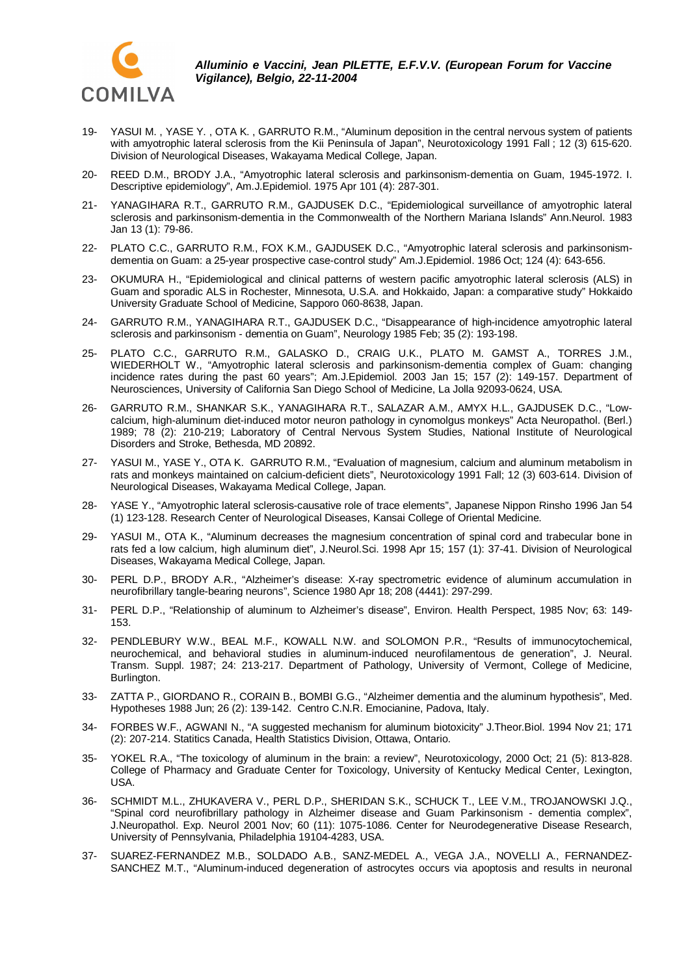

- 19- YASUI M. , YASE Y. , OTA K. , GARRUTO R.M., "Aluminum deposition in the central nervous system of patients with amyotrophic lateral sclerosis from the Kii Peninsula of Japan", Neurotoxicology 1991 Fall ; 12 (3) 615-620. Division of Neurological Diseases, Wakayama Medical College, Japan.
- 20- REED D.M., BRODY J.A., "Amyotrophic lateral sclerosis and parkinsonism-dementia on Guam, 1945-1972. I. Descriptive epidemiology", Am.J.Epidemiol. 1975 Apr 101 (4): 287-301.
- 21- YANAGIHARA R.T., GARRUTO R.M., GAJDUSEK D.C., "Epidemiological surveillance of amyotrophic lateral sclerosis and parkinsonism-dementia in the Commonwealth of the Northern Mariana Islands" Ann.Neurol. 1983 Jan 13 (1): 79-86.
- 22- PLATO C.C., GARRUTO R.M., FOX K.M., GAJDUSEK D.C., "Amyotrophic lateral sclerosis and parkinsonismdementia on Guam: a 25-year prospective case-control study" Am.J.Epidemiol. 1986 Oct; 124 (4): 643-656.
- 23- OKUMURA H., "Epidemiological and clinical patterns of western pacific amyotrophic lateral sclerosis (ALS) in Guam and sporadic ALS in Rochester, Minnesota, U.S.A. and Hokkaido, Japan: a comparative study" Hokkaido University Graduate School of Medicine, Sapporo 060-8638, Japan.
- 24- GARRUTO R.M., YANAGIHARA R.T., GAJDUSEK D.C., "Disappearance of high-incidence amyotrophic lateral sclerosis and parkinsonism - dementia on Guam", Neurology 1985 Feb; 35 (2): 193-198.
- 25- PLATO C.C., GARRUTO R.M., GALASKO D., CRAIG U.K., PLATO M. GAMST A., TORRES J.M., WIEDERHOLT W., "Amyotrophic lateral sclerosis and parkinsonism-dementia complex of Guam: changing incidence rates during the past 60 years"; Am.J.Epidemiol. 2003 Jan 15; 157 (2): 149-157. Department of Neurosciences, University of California San Diego School of Medicine, La Jolla 92093-0624, USA.
- 26- GARRUTO R.M., SHANKAR S.K., YANAGIHARA R.T., SALAZAR A.M., AMYX H.L., GAJDUSEK D.C., "Lowcalcium, high-aluminum diet-induced motor neuron pathology in cynomolgus monkeys" Acta Neuropathol. (Berl.) 1989; 78 (2): 210-219; Laboratory of Central Nervous System Studies, National Institute of Neurological Disorders and Stroke, Bethesda, MD 20892.
- 27- YASUI M., YASE Y., OTA K. GARRUTO R.M., "Evaluation of magnesium, calcium and aluminum metabolism in rats and monkeys maintained on calcium-deficient diets", Neurotoxicology 1991 Fall; 12 (3) 603-614. Division of Neurological Diseases, Wakayama Medical College, Japan.
- 28- YASE Y., "Amyotrophic lateral sclerosis-causative role of trace elements", Japanese Nippon Rinsho 1996 Jan 54 (1) 123-128. Research Center of Neurological Diseases, Kansai College of Oriental Medicine.
- 29- YASUI M., OTA K., "Aluminum decreases the magnesium concentration of spinal cord and trabecular bone in rats fed a low calcium, high aluminum diet", J.Neurol.Sci. 1998 Apr 15; 157 (1): 37-41. Division of Neurological Diseases, Wakayama Medical College, Japan.
- 30- PERL D.P., BRODY A.R., "Alzheimer's disease: X-ray spectrometric evidence of aluminum accumulation in neurofibrillary tangle-bearing neurons", Science 1980 Apr 18; 208 (4441): 297-299.
- 31- PERL D.P., "Relationship of aluminum to Alzheimer's disease", Environ. Health Perspect, 1985 Nov; 63: 149- 153.
- 32- PENDLEBURY W.W., BEAL M.F., KOWALL N.W. and SOLOMON P.R., "Results of immunocytochemical, neurochemical, and behavioral studies in aluminum-induced neurofilamentous de generation", J. Neural. Transm. Suppl. 1987; 24: 213-217. Department of Pathology, University of Vermont, College of Medicine, Burlington.
- 33- ZATTA P., GIORDANO R., CORAIN B., BOMBI G.G., "Alzheimer dementia and the aluminum hypothesis", Med. Hypotheses 1988 Jun; 26 (2): 139-142. Centro C.N.R. Emocianine, Padova, Italy.
- 34- FORBES W.F., AGWANI N., "A suggested mechanism for aluminum biotoxicity" J.Theor.Biol. 1994 Nov 21; 171 (2): 207-214. Statitics Canada, Health Statistics Division, Ottawa, Ontario.
- 35- YOKEL R.A., "The toxicology of aluminum in the brain: a review", Neurotoxicology, 2000 Oct; 21 (5): 813-828. College of Pharmacy and Graduate Center for Toxicology, University of Kentucky Medical Center, Lexington, USA.
- 36- SCHMIDT M.L., ZHUKAVERA V., PERL D.P., SHERIDAN S.K., SCHUCK T., LEE V.M., TROJANOWSKI J.Q., "Spinal cord neurofibrillary pathology in Alzheimer disease and Guam Parkinsonism - dementia complex", J.Neuropathol. Exp. Neurol 2001 Nov; 60 (11): 1075-1086. Center for Neurodegenerative Disease Research, University of Pennsylvania, Philadelphia 19104-4283, USA.
- 37- SUAREZ-FERNANDEZ M.B., SOLDADO A.B., SANZ-MEDEL A., VEGA J.A., NOVELLI A., FERNANDEZ-SANCHEZ M.T., "Aluminum-induced degeneration of astrocytes occurs via apoptosis and results in neuronal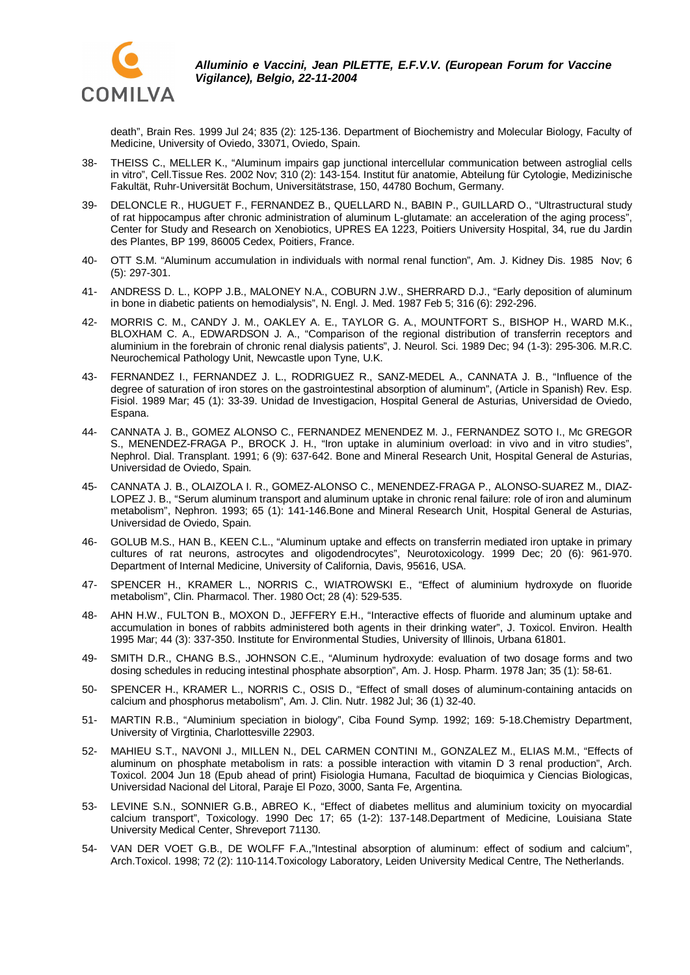

death", Brain Res. 1999 Jul 24; 835 (2): 125-136. Department of Biochemistry and Molecular Biology, Faculty of Medicine, University of Oviedo, 33071, Oviedo, Spain.

- 38- THEISS C., MELLER K., "Aluminum impairs gap junctional intercellular communication between astroglial cells in vitro", Cell.Tissue Res. 2002 Nov; 310 (2): 143-154. Institut für anatomie, Abteilung für Cytologie, Medizinische Fakultät, Ruhr-Universität Bochum, Universitätstrase, 150, 44780 Bochum, Germany.
- 39- DELONCLE R., HUGUET F., FERNANDEZ B., QUELLARD N., BABIN P., GUILLARD O., "Ultrastructural study of rat hippocampus after chronic administration of aluminum L-glutamate: an acceleration of the aging process", Center for Study and Research on Xenobiotics, UPRES EA 1223, Poitiers University Hospital, 34, rue du Jardin des Plantes, BP 199, 86005 Cedex, Poitiers, France.
- 40- OTT S.M. "Aluminum accumulation in individuals with normal renal function", Am. J. Kidney Dis. 1985 Nov; 6 (5): 297-301.
- 41- ANDRESS D. L., KOPP J.B., MALONEY N.A., COBURN J.W., SHERRARD D.J., "Early deposition of aluminum in bone in diabetic patients on hemodialysis", N. Engl. J. Med. 1987 Feb 5; 316 (6): 292-296.
- 42- MORRIS C. M., CANDY J. M., OAKLEY A. E., TAYLOR G. A., MOUNTFORT S., BISHOP H., WARD M.K., BLOXHAM C. A., EDWARDSON J. A., "Comparison of the regional distribution of transferrin receptors and aluminium in the forebrain of chronic renal dialysis patients", J. Neurol. Sci. 1989 Dec; 94 (1-3): 295-306. M.R.C. Neurochemical Pathology Unit, Newcastle upon Tyne, U.K.
- 43- FERNANDEZ I., FERNANDEZ J. L., RODRIGUEZ R., SANZ-MEDEL A., CANNATA J. B., "Influence of the degree of saturation of iron stores on the gastrointestinal absorption of aluminum", (Article in Spanish) Rev. Esp. Fisiol. 1989 Mar; 45 (1): 33-39. Unidad de Investigacion, Hospital General de Asturias, Universidad de Oviedo, Espana.
- 44- CANNATA J. B., GOMEZ ALONSO C., FERNANDEZ MENENDEZ M. J., FERNANDEZ SOTO I., Mc GREGOR S., MENENDEZ-FRAGA P., BROCK J. H., "Iron uptake in aluminium overload: in vivo and in vitro studies", Nephrol. Dial. Transplant. 1991; 6 (9): 637-642. Bone and Mineral Research Unit, Hospital General de Asturias, Universidad de Oviedo, Spain.
- 45- CANNATA J. B., OLAIZOLA I. R., GOMEZ-ALONSO C., MENENDEZ-FRAGA P., ALONSO-SUAREZ M., DIAZ-LOPEZ J. B., "Serum aluminum transport and aluminum uptake in chronic renal failure: role of iron and aluminum metabolism", Nephron. 1993; 65 (1): 141-146.Bone and Mineral Research Unit, Hospital General de Asturias, Universidad de Oviedo, Spain.
- 46- GOLUB M.S., HAN B., KEEN C.L., "Aluminum uptake and effects on transferrin mediated iron uptake in primary cultures of rat neurons, astrocytes and oligodendrocytes", Neurotoxicology. 1999 Dec; 20 (6): 961-970. Department of Internal Medicine, University of California, Davis, 95616, USA.
- 47- SPENCER H., KRAMER L., NORRIS C., WIATROWSKI E., "Effect of aluminium hydroxyde on fluoride metabolism", Clin. Pharmacol. Ther. 1980 Oct; 28 (4): 529-535.
- 48- AHN H.W., FULTON B., MOXON D., JEFFERY E.H., "Interactive effects of fluoride and aluminum uptake and accumulation in bones of rabbits administered both agents in their drinking water", J. Toxicol. Environ. Health 1995 Mar; 44 (3): 337-350. Institute for Environmental Studies, University of Illinois, Urbana 61801.
- 49- SMITH D.R., CHANG B.S., JOHNSON C.E., "Aluminum hydroxyde: evaluation of two dosage forms and two dosing schedules in reducing intestinal phosphate absorption", Am. J. Hosp. Pharm. 1978 Jan; 35 (1): 58-61.
- 50- SPENCER H., KRAMER L., NORRIS C., OSIS D., "Effect of small doses of aluminum-containing antacids on calcium and phosphorus metabolism", Am. J. Clin. Nutr. 1982 Jul; 36 (1) 32-40.
- 51- MARTIN R.B., "Aluminium speciation in biology", Ciba Found Symp. 1992; 169: 5-18.Chemistry Department, University of Virgtinia, Charlottesville 22903.
- 52- MAHIEU S.T., NAVONI J., MILLEN N., DEL CARMEN CONTINI M., GONZALEZ M., ELIAS M.M., "Effects of aluminum on phosphate metabolism in rats: a possible interaction with vitamin D 3 renal production", Arch. Toxicol. 2004 Jun 18 (Epub ahead of print) Fisiologia Humana, Facultad de bioquimica y Ciencias Biologicas, Universidad Nacional del Litoral, Paraje El Pozo, 3000, Santa Fe, Argentina.
- 53- LEVINE S.N., SONNIER G.B., ABREO K., "Effect of diabetes mellitus and aluminium toxicity on myocardial calcium transport", Toxicology. 1990 Dec 17; 65 (1-2): 137-148.Department of Medicine, Louisiana State University Medical Center, Shreveport 71130.
- 54- VAN DER VOET G.B., DE WOLFF F.A.,"Intestinal absorption of aluminum: effect of sodium and calcium", Arch.Toxicol. 1998; 72 (2): 110-114.Toxicology Laboratory, Leiden University Medical Centre, The Netherlands.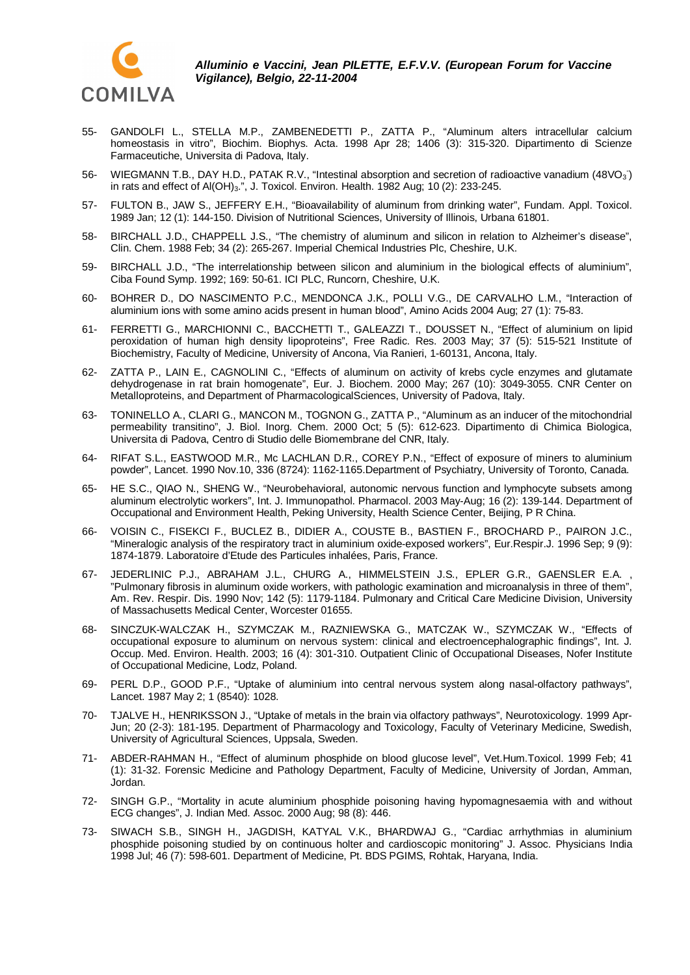

- 55- GANDOLFI L., STELLA M.P., ZAMBENEDETTI P., ZATTA P., "Aluminum alters intracellular calcium homeostasis in vitro", Biochim. Biophys. Acta. 1998 Apr 28; 1406 (3): 315-320. Dipartimento di Scienze Farmaceutiche, Universita di Padova, Italy.
- 56- WIEGMANN T.B., DAY H.D., PATAK R.V., "Intestinal absorption and secretion of radioactive vanadium (48VO<sub>3</sub>) in rats and effect of Al(OH)<sub>3</sub>.", J. Toxicol. Environ. Health. 1982 Aug; 10 (2): 233-245.
- 57- FULTON B., JAW S., JEFFERY E.H., "Bioavailability of aluminum from drinking water", Fundam. Appl. Toxicol. 1989 Jan; 12 (1): 144-150. Division of Nutritional Sciences, University of Illinois, Urbana 61801.
- 58- BIRCHALL J.D., CHAPPELL J.S., "The chemistry of aluminum and silicon in relation to Alzheimer's disease", Clin. Chem. 1988 Feb; 34 (2): 265-267. Imperial Chemical Industries Plc, Cheshire, U.K.
- 59- BIRCHALL J.D., "The interrelationship between silicon and aluminium in the biological effects of aluminium", Ciba Found Symp. 1992; 169: 50-61. ICI PLC, Runcorn, Cheshire, U.K.
- 60- BOHRER D., DO NASCIMENTO P.C., MENDONCA J.K., POLLI V.G., DE CARVALHO L.M., "Interaction of aluminium ions with some amino acids present in human blood", Amino Acids 2004 Aug; 27 (1): 75-83.
- 61- FERRETTI G., MARCHIONNI C., BACCHETTI T., GALEAZZI T., DOUSSET N., "Effect of aluminium on lipid peroxidation of human high density lipoproteins", Free Radic. Res. 2003 May; 37 (5): 515-521 Institute of Biochemistry, Faculty of Medicine, University of Ancona, Via Ranieri, 1-60131, Ancona, Italy.
- 62- ZATTA P., LAIN E., CAGNOLINI C., "Effects of aluminum on activity of krebs cycle enzymes and glutamate dehydrogenase in rat brain homogenate", Eur. J. Biochem. 2000 May; 267 (10): 3049-3055. CNR Center on Metalloproteins, and Department of PharmacologicalSciences, University of Padova, Italy.
- 63- TONINELLO A., CLARI G., MANCON M., TOGNON G., ZATTA P., "Aluminum as an inducer of the mitochondrial permeability transitino", J. Biol. Inorg. Chem. 2000 Oct; 5 (5): 612-623. Dipartimento di Chimica Biologica, Universita di Padova, Centro di Studio delle Biomembrane del CNR, Italy.
- 64- RIFAT S.L., EASTWOOD M.R., Mc LACHLAN D.R., COREY P.N., "Effect of exposure of miners to aluminium powder", Lancet. 1990 Nov.10, 336 (8724): 1162-1165.Department of Psychiatry, University of Toronto, Canada.
- 65- HE S.C., QIAO N., SHENG W., "Neurobehavioral, autonomic nervous function and lymphocyte subsets among aluminum electrolytic workers", Int. J. Immunopathol. Pharmacol. 2003 May-Aug; 16 (2): 139-144. Department of Occupational and Environment Health, Peking University, Health Science Center, Beijing, P R China.
- 66- VOISIN C., FISEKCI F., BUCLEZ B., DIDIER A., COUSTE B., BASTIEN F., BROCHARD P., PAIRON J.C., "Mineralogic analysis of the respiratory tract in aluminium oxide-exposed workers", Eur.Respir.J. 1996 Sep; 9 (9): 1874-1879. Laboratoire d'Etude des Particules inhalées, Paris, France.
- 67- JEDERLINIC P.J., ABRAHAM J.L., CHURG A., HIMMELSTEIN J.S., EPLER G.R., GAENSLER E.A. , "Pulmonary fibrosis in aluminum oxide workers, with pathologic examination and microanalysis in three of them", Am. Rev. Respir. Dis. 1990 Nov; 142 (5): 1179-1184. Pulmonary and Critical Care Medicine Division, University of Massachusetts Medical Center, Worcester 01655.
- 68- SINCZUK-WALCZAK H., SZYMCZAK M., RAZNIEWSKA G., MATCZAK W., SZYMCZAK W., "Effects of occupational exposure to aluminum on nervous system: clinical and electroencephalographic findings", Int. J. Occup. Med. Environ. Health. 2003; 16 (4): 301-310. Outpatient Clinic of Occupational Diseases, Nofer Institute of Occupational Medicine, Lodz, Poland.
- 69- PERL D.P., GOOD P.F., "Uptake of aluminium into central nervous system along nasal-olfactory pathways", Lancet. 1987 May 2; 1 (8540): 1028.
- 70- TJALVE H., HENRIKSSON J., "Uptake of metals in the brain via olfactory pathways", Neurotoxicology. 1999 Apr-Jun; 20 (2-3): 181-195. Department of Pharmacology and Toxicology, Faculty of Veterinary Medicine, Swedish, University of Agricultural Sciences, Uppsala, Sweden.
- 71- ABDER-RAHMAN H., "Effect of aluminum phosphide on blood glucose level", Vet.Hum.Toxicol. 1999 Feb; 41 (1): 31-32. Forensic Medicine and Pathology Department, Faculty of Medicine, University of Jordan, Amman, Jordan.
- 72- SINGH G.P., "Mortality in acute aluminium phosphide poisoning having hypomagnesaemia with and without ECG changes", J. Indian Med. Assoc. 2000 Aug; 98 (8): 446.
- 73- SIWACH S.B., SINGH H., JAGDISH, KATYAL V.K., BHARDWAJ G., "Cardiac arrhythmias in aluminium phosphide poisoning studied by on continuous holter and cardioscopic monitoring" J. Assoc. Physicians India 1998 Jul; 46 (7): 598-601. Department of Medicine, Pt. BDS PGIMS, Rohtak, Haryana, India.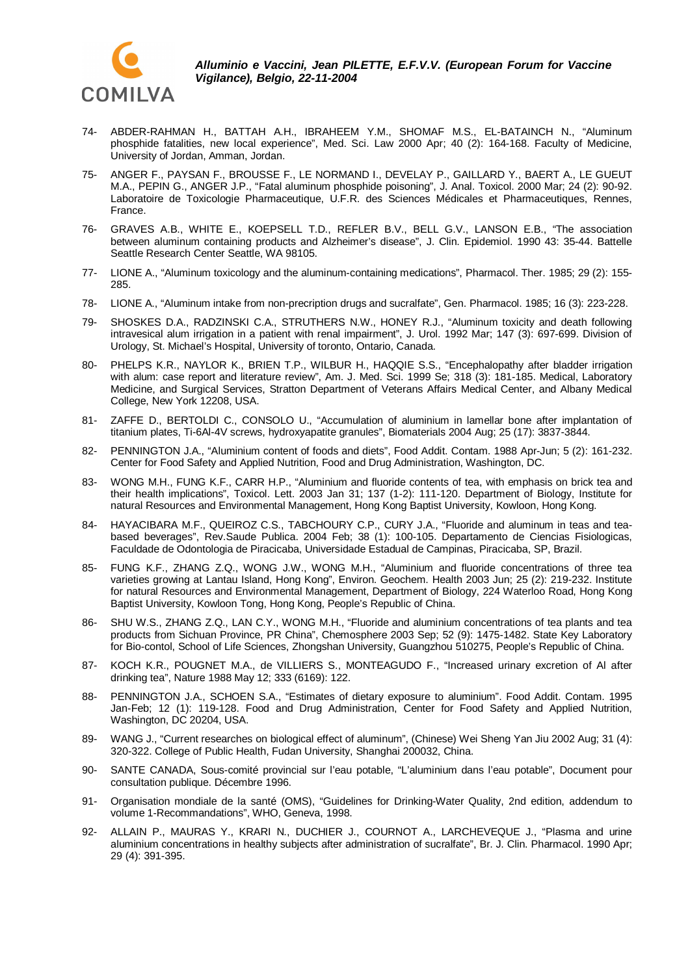

- 74- ABDER-RAHMAN H., BATTAH A.H., IBRAHEEM Y.M., SHOMAF M.S., EL-BATAINCH N., "Aluminum phosphide fatalities, new local experience", Med. Sci. Law 2000 Apr; 40 (2): 164-168. Faculty of Medicine, University of Jordan, Amman, Jordan.
- 75- ANGER F., PAYSAN F., BROUSSE F., LE NORMAND I., DEVELAY P., GAILLARD Y., BAERT A., LE GUEUT M.A., PEPIN G., ANGER J.P., "Fatal aluminum phosphide poisoning", J. Anal. Toxicol. 2000 Mar; 24 (2): 90-92. Laboratoire de Toxicologie Pharmaceutique, U.F.R. des Sciences Médicales et Pharmaceutiques, Rennes, France.
- 76- GRAVES A.B., WHITE E., KOEPSELL T.D., REFLER B.V., BELL G.V., LANSON E.B., "The association between aluminum containing products and Alzheimer's disease", J. Clin. Epidemiol. 1990 43: 35-44. Battelle Seattle Research Center Seattle, WA 98105.
- 77- LIONE A., "Aluminum toxicology and the aluminum-containing medications", Pharmacol. Ther. 1985; 29 (2): 155- 285.
- 78- LIONE A., "Aluminum intake from non-precription drugs and sucralfate", Gen. Pharmacol. 1985; 16 (3): 223-228.
- 79- SHOSKES D.A., RADZINSKI C.A., STRUTHERS N.W., HONEY R.J., "Aluminum toxicity and death following intravesical alum irrigation in a patient with renal impairment", J. Urol. 1992 Mar; 147 (3): 697-699. Division of Urology, St. Michael's Hospital, University of toronto, Ontario, Canada.
- 80- PHELPS K.R., NAYLOR K., BRIEN T.P., WILBUR H., HAQQIE S.S., "Encephalopathy after bladder irrigation with alum: case report and literature review", Am. J. Med. Sci. 1999 Se; 318 (3): 181-185. Medical, Laboratory Medicine, and Surgical Services, Stratton Department of Veterans Affairs Medical Center, and Albany Medical College, New York 12208, USA.
- 81- ZAFFE D., BERTOLDI C., CONSOLO U., "Accumulation of aluminium in lamellar bone after implantation of titanium plates, Ti-6Al-4V screws, hydroxyapatite granules", Biomaterials 2004 Aug; 25 (17): 3837-3844.
- 82- PENNINGTON J.A., "Aluminium content of foods and diets", Food Addit. Contam. 1988 Apr-Jun; 5 (2): 161-232. Center for Food Safety and Applied Nutrition, Food and Drug Administration, Washington, DC.
- 83- WONG M.H., FUNG K.F., CARR H.P., "Aluminium and fluoride contents of tea, with emphasis on brick tea and their health implications", Toxicol. Lett. 2003 Jan 31; 137 (1-2): 111-120. Department of Biology, Institute for natural Resources and Environmental Management, Hong Kong Baptist University, Kowloon, Hong Kong.
- 84- HAYACIBARA M.F., QUEIROZ C.S., TABCHOURY C.P., CURY J.A., "Fluoride and aluminum in teas and teabased beverages", Rev.Saude Publica. 2004 Feb; 38 (1): 100-105. Departamento de Ciencias Fisiologicas, Faculdade de Odontologia de Piracicaba, Universidade Estadual de Campinas, Piracicaba, SP, Brazil.
- 85- FUNG K.F., ZHANG Z.Q., WONG J.W., WONG M.H., "Aluminium and fluoride concentrations of three tea varieties growing at Lantau Island, Hong Kong", Environ. Geochem. Health 2003 Jun; 25 (2): 219-232. Institute for natural Resources and Environmental Management, Department of Biology, 224 Waterloo Road, Hong Kong Baptist University, Kowloon Tong, Hong Kong, People's Republic of China.
- 86- SHU W.S., ZHANG Z.Q., LAN C.Y., WONG M.H., "Fluoride and aluminium concentrations of tea plants and tea products from Sichuan Province, PR China", Chemosphere 2003 Sep; 52 (9): 1475-1482. State Key Laboratory for Bio-contol, School of Life Sciences, Zhongshan University, Guangzhou 510275, People's Republic of China.
- 87- KOCH K.R., POUGNET M.A., de VILLIERS S., MONTEAGUDO F., "Increased urinary excretion of Al after drinking tea", Nature 1988 May 12; 333 (6169): 122.
- 88- PENNINGTON J.A., SCHOEN S.A., "Estimates of dietary exposure to aluminium". Food Addit. Contam. 1995 Jan-Feb; 12 (1): 119-128. Food and Drug Administration, Center for Food Safety and Applied Nutrition, Washington, DC 20204, USA.
- 89- WANG J., "Current researches on biological effect of aluminum", (Chinese) Wei Sheng Yan Jiu 2002 Aug; 31 (4): 320-322. College of Public Health, Fudan University, Shanghai 200032, China.
- 90- SANTE CANADA, Sous-comité provincial sur l'eau potable, "L'aluminium dans l'eau potable", Document pour consultation publique. Décembre 1996.
- 91- Organisation mondiale de la santé (OMS), "Guidelines for Drinking-Water Quality, 2nd edition, addendum to volume 1-Recommandations", WHO, Geneva, 1998.
- 92- ALLAIN P., MAURAS Y., KRARI N., DUCHIER J., COURNOT A., LARCHEVEQUE J., "Plasma and urine aluminium concentrations in healthy subjects after administration of sucralfate", Br. J. Clin. Pharmacol. 1990 Apr; 29 (4): 391-395.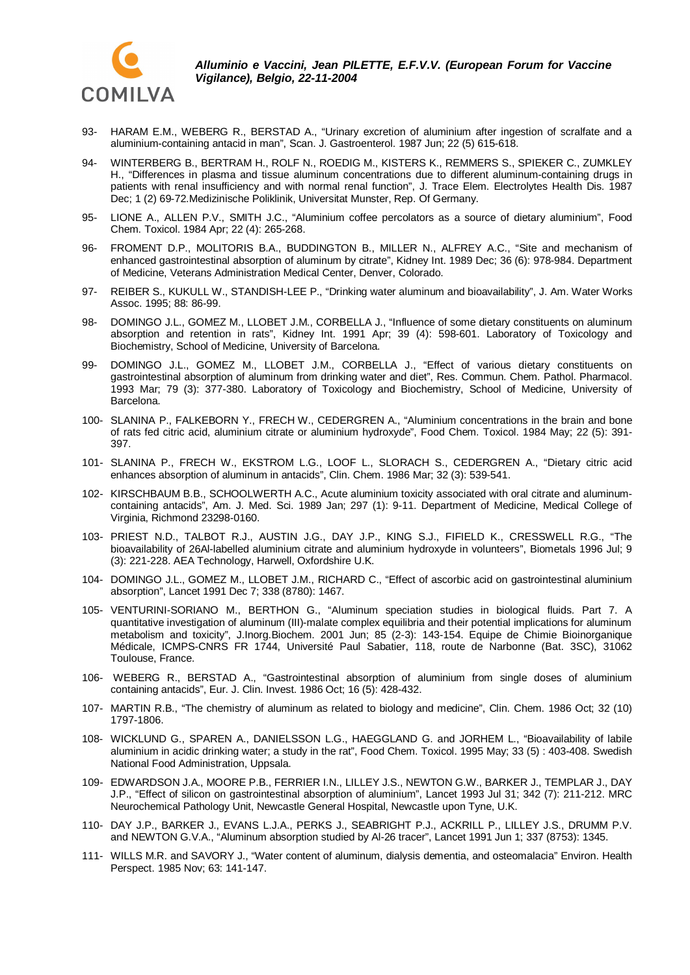

- 93- HARAM E.M., WEBERG R., BERSTAD A., "Urinary excretion of aluminium after ingestion of scralfate and a aluminium-containing antacid in man", Scan. J. Gastroenterol. 1987 Jun; 22 (5) 615-618.
- 94- WINTERBERG B., BERTRAM H., ROLF N., ROEDIG M., KISTERS K., REMMERS S., SPIEKER C., ZUMKLEY H., "Differences in plasma and tissue aluminum concentrations due to different aluminum-containing drugs in patients with renal insufficiency and with normal renal function", J. Trace Elem. Electrolytes Health Dis. 1987 Dec; 1 (2) 69-72.Medizinische Poliklinik, Universitat Munster, Rep. Of Germany.
- 95- LIONE A., ALLEN P.V., SMITH J.C., "Aluminium coffee percolators as a source of dietary aluminium", Food Chem. Toxicol. 1984 Apr; 22 (4): 265-268.
- 96- FROMENT D.P., MOLITORIS B.A., BUDDINGTON B., MILLER N., ALFREY A.C., "Site and mechanism of enhanced gastrointestinal absorption of aluminum by citrate", Kidney Int. 1989 Dec; 36 (6): 978-984. Department of Medicine, Veterans Administration Medical Center, Denver, Colorado.
- 97- REIBER S., KUKULL W., STANDISH-LEE P., "Drinking water aluminum and bioavailability", J. Am. Water Works Assoc. 1995; 88: 86-99.
- 98- DOMINGO J.L., GOMEZ M., LLOBET J.M., CORBELLA J., "Influence of some dietary constituents on aluminum absorption and retention in rats", Kidney Int. 1991 Apr; 39 (4): 598-601. Laboratory of Toxicology and Biochemistry, School of Medicine, University of Barcelona.
- 99- DOMINGO J.L., GOMEZ M., LLOBET J.M., CORBELLA J., "Effect of various dietary constituents on gastrointestinal absorption of aluminum from drinking water and diet", Res. Commun. Chem. Pathol. Pharmacol. 1993 Mar; 79 (3): 377-380. Laboratory of Toxicology and Biochemistry, School of Medicine, University of Barcelona.
- 100- SLANINA P., FALKEBORN Y., FRECH W., CEDERGREN A., "Aluminium concentrations in the brain and bone of rats fed citric acid, aluminium citrate or aluminium hydroxyde", Food Chem. Toxicol. 1984 May; 22 (5): 391- 397.
- 101- SLANINA P., FRECH W., EKSTROM L.G., LOOF L., SLORACH S., CEDERGREN A., "Dietary citric acid enhances absorption of aluminum in antacids", Clin. Chem. 1986 Mar; 32 (3): 539-541.
- 102- KIRSCHBAUM B.B., SCHOOLWERTH A.C., Acute aluminium toxicity associated with oral citrate and aluminumcontaining antacids", Am. J. Med. Sci. 1989 Jan; 297 (1): 9-11. Department of Medicine, Medical College of Virginia, Richmond 23298-0160.
- 103- PRIEST N.D., TALBOT R.J., AUSTIN J.G., DAY J.P., KING S.J., FIFIELD K., CRESSWELL R.G., "The bioavailability of 26Al-labelled aluminium citrate and aluminium hydroxyde in volunteers", Biometals 1996 Jul; 9 (3): 221-228. AEA Technology, Harwell, Oxfordshire U.K.
- 104- DOMINGO J.L., GOMEZ M., LLOBET J.M., RICHARD C., "Effect of ascorbic acid on gastrointestinal aluminium absorption", Lancet 1991 Dec 7; 338 (8780): 1467.
- 105- VENTURINI-SORIANO M., BERTHON G., "Aluminum speciation studies in biological fluids. Part 7. A quantitative investigation of aluminum (III)-malate complex equilibria and their potential implications for aluminum metabolism and toxicity", J.Inorg.Biochem. 2001 Jun; 85 (2-3): 143-154. Equipe de Chimie Bioinorganique Médicale, ICMPS-CNRS FR 1744, Université Paul Sabatier, 118, route de Narbonne (Bat. 3SC), 31062 Toulouse, France.
- 106- WEBERG R., BERSTAD A., "Gastrointestinal absorption of aluminium from single doses of aluminium containing antacids", Eur. J. Clin. Invest. 1986 Oct; 16 (5): 428-432.
- 107- MARTIN R.B., "The chemistry of aluminum as related to biology and medicine", Clin. Chem. 1986 Oct; 32 (10) 1797-1806.
- 108- WICKLUND G., SPAREN A., DANIELSSON L.G., HAEGGLAND G. and JORHEM L., "Bioavailability of labile aluminium in acidic drinking water; a study in the rat", Food Chem. Toxicol. 1995 May; 33 (5) : 403-408. Swedish National Food Administration, Uppsala.
- 109- EDWARDSON J.A., MOORE P.B., FERRIER I.N., LILLEY J.S., NEWTON G.W., BARKER J., TEMPLAR J., DAY J.P., "Effect of silicon on gastrointestinal absorption of aluminium", Lancet 1993 Jul 31; 342 (7): 211-212. MRC Neurochemical Pathology Unit, Newcastle General Hospital, Newcastle upon Tyne, U.K.
- 110- DAY J.P., BARKER J., EVANS L.J.A., PERKS J., SEABRIGHT P.J., ACKRILL P., LILLEY J.S., DRUMM P.V. and NEWTON G.V.A., "Aluminum absorption studied by Al-26 tracer", Lancet 1991 Jun 1; 337 (8753): 1345.
- 111- WILLS M.R. and SAVORY J., "Water content of aluminum, dialysis dementia, and osteomalacia" Environ. Health Perspect. 1985 Nov; 63: 141-147.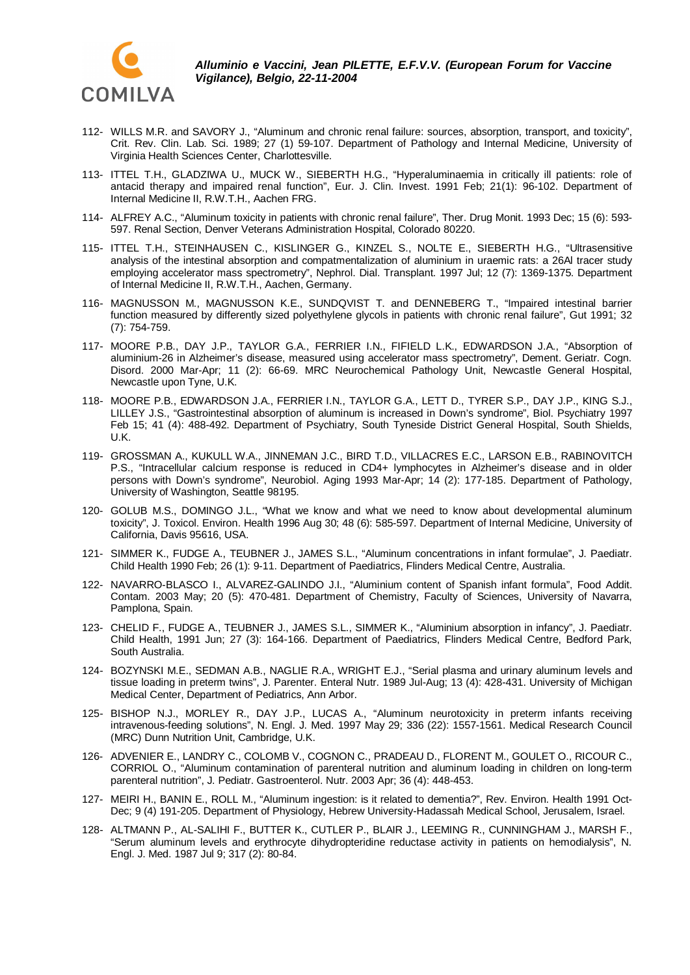

- 112- WILLS M.R. and SAVORY J., "Aluminum and chronic renal failure: sources, absorption, transport, and toxicity", Crit. Rev. Clin. Lab. Sci. 1989; 27 (1) 59-107. Department of Pathology and Internal Medicine, University of Virginia Health Sciences Center, Charlottesville.
- 113- ITTEL T.H., GLADZIWA U., MUCK W., SIEBERTH H.G., "Hyperaluminaemia in critically ill patients: role of antacid therapy and impaired renal function", Eur. J. Clin. Invest. 1991 Feb; 21(1): 96-102. Department of Internal Medicine II, R.W.T.H., Aachen FRG.
- 114- ALFREY A.C., "Aluminum toxicity in patients with chronic renal failure", Ther. Drug Monit. 1993 Dec; 15 (6): 593- 597. Renal Section, Denver Veterans Administration Hospital, Colorado 80220.
- 115- ITTEL T.H., STEINHAUSEN C., KISLINGER G., KINZEL S., NOLTE E., SIEBERTH H.G., "Ultrasensitive analysis of the intestinal absorption and compatmentalization of aluminium in uraemic rats: a 26Al tracer study employing accelerator mass spectrometry", Nephrol. Dial. Transplant. 1997 Jul; 12 (7): 1369-1375. Department of Internal Medicine II, R.W.T.H., Aachen, Germany.
- 116- MAGNUSSON M., MAGNUSSON K.E., SUNDQVIST T. and DENNEBERG T., "Impaired intestinal barrier function measured by differently sized polyethylene glycols in patients with chronic renal failure", Gut 1991; 32 (7): 754-759.
- 117- MOORE P.B., DAY J.P., TAYLOR G.A., FERRIER I.N., FIFIELD L.K., EDWARDSON J.A., "Absorption of aluminium-26 in Alzheimer's disease, measured using accelerator mass spectrometry", Dement. Geriatr. Cogn. Disord. 2000 Mar-Apr; 11 (2): 66-69. MRC Neurochemical Pathology Unit, Newcastle General Hospital, Newcastle upon Tyne, U.K.
- 118- MOORE P.B., EDWARDSON J.A., FERRIER I.N., TAYLOR G.A., LETT D., TYRER S.P., DAY J.P., KING S.J., LILLEY J.S., "Gastrointestinal absorption of aluminum is increased in Down's syndrome", Biol. Psychiatry 1997 Feb 15; 41 (4): 488-492. Department of Psychiatry, South Tyneside District General Hospital, South Shields, U.K.
- 119- GROSSMAN A., KUKULL W.A., JINNEMAN J.C., BIRD T.D., VILLACRES E.C., LARSON E.B., RABINOVITCH P.S., "Intracellular calcium response is reduced in CD4+ lymphocytes in Alzheimer's disease and in older persons with Down's syndrome", Neurobiol. Aging 1993 Mar-Apr; 14 (2): 177-185. Department of Pathology, University of Washington, Seattle 98195.
- 120- GOLUB M.S., DOMINGO J.L., "What we know and what we need to know about developmental aluminum toxicity", J. Toxicol. Environ. Health 1996 Aug 30; 48 (6): 585-597. Department of Internal Medicine, University of California, Davis 95616, USA.
- 121- SIMMER K., FUDGE A., TEUBNER J., JAMES S.L., "Aluminum concentrations in infant formulae", J. Paediatr. Child Health 1990 Feb; 26 (1): 9-11. Department of Paediatrics, Flinders Medical Centre, Australia.
- 122- NAVARRO-BLASCO I., ALVAREZ-GALINDO J.I., "Aluminium content of Spanish infant formula", Food Addit. Contam. 2003 May; 20 (5): 470-481. Department of Chemistry, Faculty of Sciences, University of Navarra, Pamplona, Spain.
- 123- CHELID F., FUDGE A., TEUBNER J., JAMES S.L., SIMMER K., "Aluminium absorption in infancy", J. Paediatr. Child Health, 1991 Jun; 27 (3): 164-166. Department of Paediatrics, Flinders Medical Centre, Bedford Park, South Australia.
- 124- BOZYNSKI M.E., SEDMAN A.B., NAGLIE R.A., WRIGHT E.J., "Serial plasma and urinary aluminum levels and tissue loading in preterm twins", J. Parenter. Enteral Nutr. 1989 Jul-Aug; 13 (4): 428-431. University of Michigan Medical Center, Department of Pediatrics, Ann Arbor.
- 125- BISHOP N.J., MORLEY R., DAY J.P., LUCAS A., "Aluminum neurotoxicity in preterm infants receiving intravenous-feeding solutions", N. Engl. J. Med. 1997 May 29; 336 (22): 1557-1561. Medical Research Council (MRC) Dunn Nutrition Unit, Cambridge, U.K.
- 126- ADVENIER E., LANDRY C., COLOMB V., COGNON C., PRADEAU D., FLORENT M., GOULET O., RICOUR C., CORRIOL O., "Aluminum contamination of parenteral nutrition and aluminum loading in children on long-term parenteral nutrition", J. Pediatr. Gastroenterol. Nutr. 2003 Apr; 36 (4): 448-453.
- 127- MEIRI H., BANIN E., ROLL M., "Aluminum ingestion: is it related to dementia?", Rev. Environ. Health 1991 Oct-Dec; 9 (4) 191-205. Department of Physiology, Hebrew University-Hadassah Medical School, Jerusalem, Israel.
- 128- ALTMANN P., AL-SALIHI F., BUTTER K., CUTLER P., BLAIR J., LEEMING R., CUNNINGHAM J., MARSH F., "Serum aluminum levels and erythrocyte dihydropteridine reductase activity in patients on hemodialysis", N. Engl. J. Med. 1987 Jul 9; 317 (2): 80-84.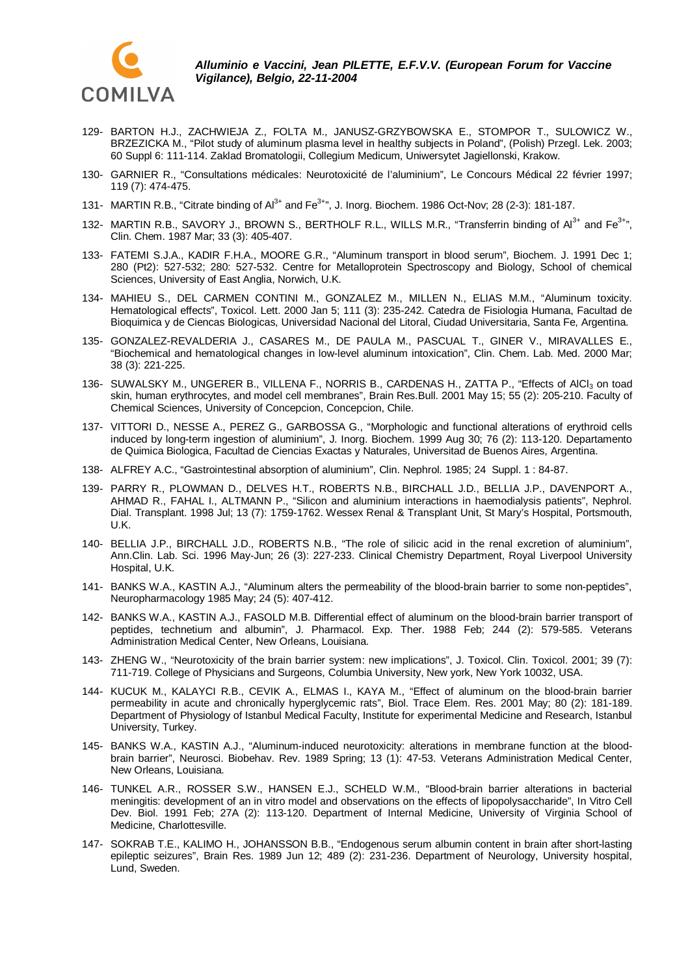

- 129- BARTON H.J., ZACHWIEJA Z., FOLTA M., JANUSZ-GRZYBOWSKA E., STOMPOR T., SULOWICZ W., BRZEZICKA M., "Pilot study of aluminum plasma level in healthy subjects in Poland", (Polish) Przegl. Lek. 2003; 60 Suppl 6: 111-114. Zaklad Bromatologii, Collegium Medicum, Uniwersytet Jagiellonski, Krakow.
- 130- GARNIER R., "Consultations médicales: Neurotoxicité de l'aluminium", Le Concours Médical 22 février 1997; 119 (7): 474-475.
- 131- MARTIN R.B., "Citrate binding of Al<sup>3+</sup> and Fe<sup>3+</sup>", J. Inorg. Biochem. 1986 Oct-Nov; 28 (2-3): 181-187.
- 132- MARTIN R.B., SAVORY J., BROWN S., BERTHOLF R.L., WILLS M.R., "Transferrin binding of  $Al^{3+}$  and  $Fe^{3+}$ ", Clin. Chem. 1987 Mar; 33 (3): 405-407.
- 133- FATEMI S.J.A., KADIR F.H.A., MOORE G.R., "Aluminum transport in blood serum", Biochem. J. 1991 Dec 1; 280 (Pt2): 527-532; 280: 527-532. Centre for Metalloprotein Spectroscopy and Biology, School of chemical Sciences, University of East Anglia, Norwich, U.K.
- 134- MAHIEU S., DEL CARMEN CONTINI M., GONZALEZ M., MILLEN N., ELIAS M.M., "Aluminum toxicity. Hematological effects", Toxicol. Lett. 2000 Jan 5; 111 (3): 235-242. Catedra de Fisiologia Humana, Facultad de Bioquimica y de Ciencas Biologicas, Universidad Nacional del Litoral, Ciudad Universitaria, Santa Fe, Argentina.
- 135- GONZALEZ-REVALDERIA J., CASARES M., DE PAULA M., PASCUAL T., GINER V., MIRAVALLES E., "Biochemical and hematological changes in low-level aluminum intoxication", Clin. Chem. Lab. Med. 2000 Mar; 38 (3): 221-225.
- 136- SUWALSKY M., UNGERER B., VILLENA F., NORRIS B., CARDENAS H., ZATTA P., "Effects of AICI<sub>3</sub> on toad skin, human erythrocytes, and model cell membranes", Brain Res.Bull. 2001 May 15; 55 (2): 205-210. Faculty of Chemical Sciences, University of Concepcion, Concepcion, Chile.
- 137- VITTORI D., NESSE A., PEREZ G., GARBOSSA G., "Morphologic and functional alterations of erythroid cells induced by long-term ingestion of aluminium", J. Inorg. Biochem. 1999 Aug 30; 76 (2): 113-120. Departamento de Quimica Biologica, Facultad de Ciencias Exactas y Naturales, Universitad de Buenos Aires, Argentina.
- 138- ALFREY A.C., "Gastrointestinal absorption of aluminium", Clin. Nephrol. 1985; 24 Suppl. 1 : 84-87.
- 139- PARRY R., PLOWMAN D., DELVES H.T., ROBERTS N.B., BIRCHALL J.D., BELLIA J.P., DAVENPORT A., AHMAD R., FAHAL I., ALTMANN P., "Silicon and aluminium interactions in haemodialysis patients", Nephrol. Dial. Transplant. 1998 Jul; 13 (7): 1759-1762. Wessex Renal & Transplant Unit, St Mary's Hospital, Portsmouth, U.K.
- 140- BELLIA J.P., BIRCHALL J.D., ROBERTS N.B., "The role of silicic acid in the renal excretion of aluminium", Ann.Clin. Lab. Sci. 1996 May-Jun; 26 (3): 227-233. Clinical Chemistry Department, Royal Liverpool University Hospital, U.K.
- 141- BANKS W.A., KASTIN A.J., "Aluminum alters the permeability of the blood-brain barrier to some non-peptides", Neuropharmacology 1985 May; 24 (5): 407-412.
- 142- BANKS W.A., KASTIN A.J., FASOLD M.B. Differential effect of aluminum on the blood-brain barrier transport of peptides, technetium and albumin", J. Pharmacol. Exp. Ther. 1988 Feb; 244 (2): 579-585. Veterans Administration Medical Center, New Orleans, Louisiana.
- 143- ZHENG W., "Neurotoxicity of the brain barrier system: new implications", J. Toxicol. Clin. Toxicol. 2001; 39 (7): 711-719. College of Physicians and Surgeons, Columbia University, New york, New York 10032, USA.
- 144- KUCUK M., KALAYCI R.B., CEVIK A., ELMAS I., KAYA M., "Effect of aluminum on the blood-brain barrier permeability in acute and chronically hyperglycemic rats", Biol. Trace Elem. Res. 2001 May; 80 (2): 181-189. Department of Physiology of Istanbul Medical Faculty, Institute for experimental Medicine and Research, Istanbul University, Turkey.
- 145- BANKS W.A., KASTIN A.J., "Aluminum-induced neurotoxicity: alterations in membrane function at the bloodbrain barrier", Neurosci. Biobehav. Rev. 1989 Spring; 13 (1): 47-53. Veterans Administration Medical Center, New Orleans, Louisiana.
- 146- TUNKEL A.R., ROSSER S.W., HANSEN E.J., SCHELD W.M., "Blood-brain barrier alterations in bacterial meningitis: development of an in vitro model and observations on the effects of lipopolysaccharide", In Vitro Cell Dev. Biol. 1991 Feb; 27A (2): 113-120. Department of Internal Medicine, University of Virginia School of Medicine, Charlottesville.
- 147- SOKRAB T.E., KALIMO H., JOHANSSON B.B., "Endogenous serum albumin content in brain after short-lasting epileptic seizures", Brain Res. 1989 Jun 12; 489 (2): 231-236. Department of Neurology, University hospital, Lund, Sweden.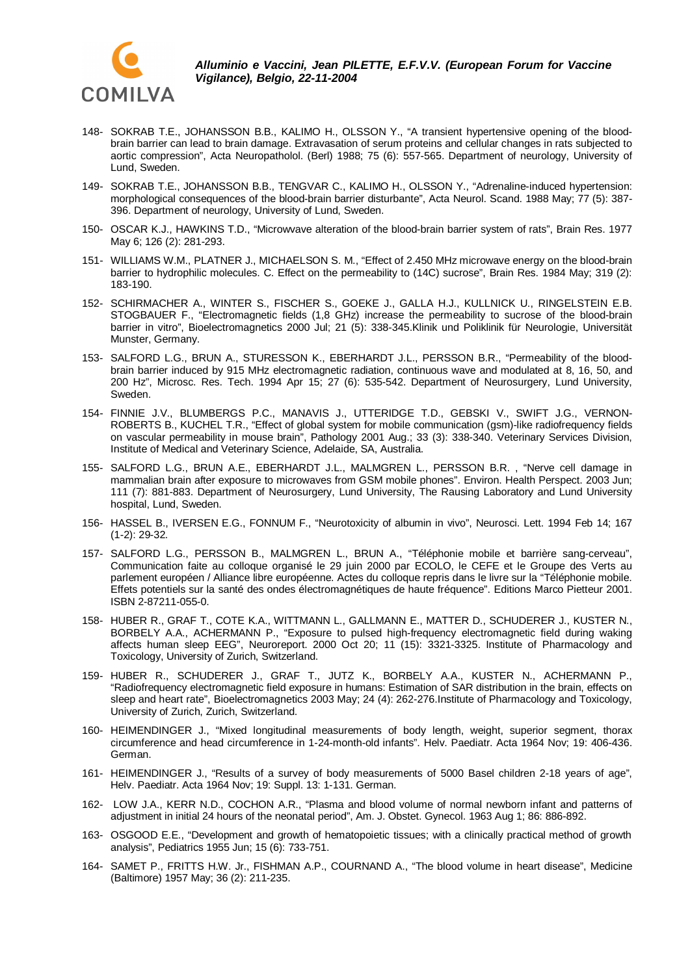

- 148- SOKRAB T.E., JOHANSSON B.B., KALIMO H., OLSSON Y., "A transient hypertensive opening of the bloodbrain barrier can lead to brain damage. Extravasation of serum proteins and cellular changes in rats subjected to aortic compression", Acta Neuropatholol. (Berl) 1988; 75 (6): 557-565. Department of neurology, University of Lund, Sweden.
- 149- SOKRAB T.E., JOHANSSON B.B., TENGVAR C., KALIMO H., OLSSON Y., "Adrenaline-induced hypertension: morphological consequences of the blood-brain barrier disturbante", Acta Neurol. Scand. 1988 May; 77 (5): 387- 396. Department of neurology, University of Lund, Sweden.
- 150- OSCAR K.J., HAWKINS T.D., "Microwvave alteration of the blood-brain barrier system of rats", Brain Res. 1977 May 6; 126 (2): 281-293.
- 151- WILLIAMS W.M., PLATNER J., MICHAELSON S. M., "Effect of 2.450 MHz microwave energy on the blood-brain barrier to hydrophilic molecules. C. Effect on the permeability to (14C) sucrose", Brain Res. 1984 May; 319 (2): 183-190.
- 152- SCHIRMACHER A., WINTER S., FISCHER S., GOEKE J., GALLA H.J., KULLNICK U., RINGELSTEIN E.B. STOGBAUER F., "Electromagnetic fields (1,8 GHz) increase the permeability to sucrose of the blood-brain barrier in vitro", Bioelectromagnetics 2000 Jul; 21 (5): 338-345.Klinik und Poliklinik für Neurologie, Universität Munster, Germany.
- 153- SALFORD L.G., BRUN A., STURESSON K., EBERHARDT J.L., PERSSON B.R., "Permeability of the bloodbrain barrier induced by 915 MHz electromagnetic radiation, continuous wave and modulated at 8, 16, 50, and 200 Hz", Microsc. Res. Tech. 1994 Apr 15; 27 (6): 535-542. Department of Neurosurgery, Lund University, Sweden.
- 154- FINNIE J.V., BLUMBERGS P.C., MANAVIS J., UTTERIDGE T.D., GEBSKI V., SWIFT J.G., VERNON-ROBERTS B., KUCHEL T.R., "Effect of global system for mobile communication (gsm)-like radiofrequency fields on vascular permeability in mouse brain", Pathology 2001 Aug.; 33 (3): 338-340. Veterinary Services Division, Institute of Medical and Veterinary Science, Adelaide, SA, Australia.
- 155- SALFORD L.G., BRUN A.E., EBERHARDT J.L., MALMGREN L., PERSSON B.R. , "Nerve cell damage in mammalian brain after exposure to microwaves from GSM mobile phones". Environ. Health Perspect. 2003 Jun; 111 (7): 881-883. Department of Neurosurgery, Lund University, The Rausing Laboratory and Lund University hospital, Lund, Sweden.
- 156- HASSEL B., IVERSEN E.G., FONNUM F., "Neurotoxicity of albumin in vivo", Neurosci. Lett. 1994 Feb 14; 167 (1-2): 29-32.
- 157- SALFORD L.G., PERSSON B., MALMGREN L., BRUN A., "Téléphonie mobile et barrière sang-cerveau", Communication faite au colloque organisé le 29 juin 2000 par ECOLO, le CEFE et le Groupe des Verts au parlement européen / Alliance libre européenne. Actes du colloque repris dans le livre sur la "Téléphonie mobile. Effets potentiels sur la santé des ondes électromagnétiques de haute fréquence". Editions Marco Pietteur 2001. ISBN 2-87211-055-0.
- 158- HUBER R., GRAF T., COTE K.A., WITTMANN L., GALLMANN E., MATTER D., SCHUDERER J., KUSTER N., BORBELY A.A., ACHERMANN P., "Exposure to pulsed high-frequency electromagnetic field during waking affects human sleep EEG", Neuroreport. 2000 Oct 20; 11 (15): 3321-3325. Institute of Pharmacology and Toxicology, University of Zurich, Switzerland.
- 159- HUBER R., SCHUDERER J., GRAF T., JUTZ K., BORBELY A.A., KUSTER N., ACHERMANN P., "Radiofrequency electromagnetic field exposure in humans: Estimation of SAR distribution in the brain, effects on sleep and heart rate", Bioelectromagnetics 2003 May; 24 (4): 262-276.Institute of Pharmacology and Toxicology, University of Zurich, Zurich, Switzerland.
- 160- HEIMENDINGER J., "Mixed longitudinal measurements of body length, weight, superior segment, thorax circumference and head circumference in 1-24-month-old infants". Helv. Paediatr. Acta 1964 Nov; 19: 406-436. German.
- 161- HEIMENDINGER J., "Results of a survey of body measurements of 5000 Basel children 2-18 years of age", Helv. Paediatr. Acta 1964 Nov; 19: Suppl. 13: 1-131. German.
- 162- LOW J.A., KERR N.D., COCHON A.R., "Plasma and blood volume of normal newborn infant and patterns of adjustment in initial 24 hours of the neonatal period", Am. J. Obstet. Gynecol. 1963 Aug 1; 86: 886-892.
- 163- OSGOOD E.E., "Development and growth of hematopoietic tissues; with a clinically practical method of growth analysis", Pediatrics 1955 Jun; 15 (6): 733-751.
- 164- SAMET P., FRITTS H.W. Jr., FISHMAN A.P., COURNAND A., "The blood volume in heart disease", Medicine (Baltimore) 1957 May; 36 (2): 211-235.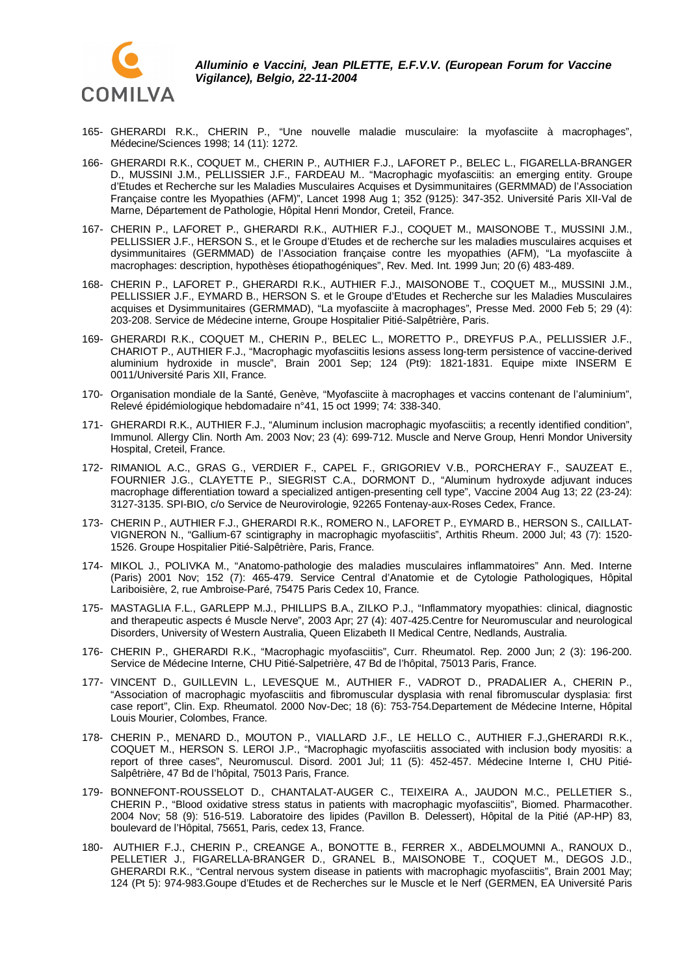

- 165- GHERARDI R.K., CHERIN P., "Une nouvelle maladie musculaire: la myofasciite à macrophages", Médecine/Sciences 1998; 14 (11): 1272.
- 166- GHERARDI R.K., COQUET M., CHERIN P., AUTHIER F.J., LAFORET P., BELEC L., FIGARELLA-BRANGER D., MUSSINI J.M., PELLISSIER J.F., FARDEAU M.. "Macrophagic myofasciitis: an emerging entity. Groupe d'Etudes et Recherche sur les Maladies Musculaires Acquises et Dysimmunitaires (GERMMAD) de l'Association Française contre les Myopathies (AFM)", Lancet 1998 Aug 1; 352 (9125): 347-352. Université Paris XII-Val de Marne, Département de Pathologie, Hôpital Henri Mondor, Creteil, France.
- 167- CHERIN P., LAFORET P., GHERARDI R.K., AUTHIER F.J., COQUET M., MAISONOBE T., MUSSINI J.M., PELLISSIER J.F., HERSON S., et le Groupe d'Etudes et de recherche sur les maladies musculaires acquises et dysimmunitaires (GERMMAD) de l'Association française contre les myopathies (AFM), "La myofasciite à macrophages: description, hypothèses étiopathogéniques", Rev. Med. Int. 1999 Jun; 20 (6) 483-489.
- 168- CHERIN P., LAFORET P., GHERARDI R.K., AUTHIER F.J., MAISONOBE T., COQUET M.,, MUSSINI J.M., PELLISSIER J.F., EYMARD B., HERSON S. et le Groupe d'Etudes et Recherche sur les Maladies Musculaires acquises et Dysimmunitaires (GERMMAD), "La myofasciite à macrophages", Presse Med. 2000 Feb 5; 29 (4): 203-208. Service de Médecine interne, Groupe Hospitalier Pitié-Salpêtrière, Paris.
- 169- GHERARDI R.K., COQUET M., CHERIN P., BELEC L., MORETTO P., DREYFUS P.A., PELLISSIER J.F., CHARIOT P., AUTHIER F.J., "Macrophagic myofasciitis lesions assess long-term persistence of vaccine-derived aluminium hydroxide in muscle", Brain 2001 Sep; 124 (Pt9): 1821-1831. Equipe mixte INSERM E 0011/Université Paris XII, France.
- 170- Organisation mondiale de la Santé, Genève, "Myofasciite à macrophages et vaccins contenant de l'aluminium", Relevé épidémiologique hebdomadaire n°41, 15 oct 1999; 74: 338-340.
- 171- GHERARDI R.K., AUTHIER F.J., "Aluminum inclusion macrophagic myofasciitis; a recently identified condition", Immunol. Allergy Clin. North Am. 2003 Nov; 23 (4): 699-712. Muscle and Nerve Group, Henri Mondor University Hospital, Creteil, France.
- 172- RIMANIOL A.C., GRAS G., VERDIER F., CAPEL F., GRIGORIEV V.B., PORCHERAY F., SAUZEAT E., FOURNIER J.G., CLAYETTE P., SIEGRIST C.A., DORMONT D., "Aluminum hydroxyde adjuvant induces macrophage differentiation toward a specialized antigen-presenting cell type", Vaccine 2004 Aug 13; 22 (23-24): 3127-3135. SPI-BIO, c/o Service de Neurovirologie, 92265 Fontenay-aux-Roses Cedex, France.
- 173- CHERIN P., AUTHIER F.J., GHERARDI R.K., ROMERO N., LAFORET P., EYMARD B., HERSON S., CAILLAT-VIGNERON N., "Gallium-67 scintigraphy in macrophagic myofasciitis", Arthitis Rheum. 2000 Jul; 43 (7): 1520- 1526. Groupe Hospitalier Pitié-Salpêtrière, Paris, France.
- 174- MIKOL J., POLIVKA M., "Anatomo-pathologie des maladies musculaires inflammatoires" Ann. Med. Interne (Paris) 2001 Nov; 152 (7): 465-479. Service Central d'Anatomie et de Cytologie Pathologiques, Hôpital Lariboisière, 2, rue Ambroise-Paré, 75475 Paris Cedex 10, France.
- 175- MASTAGLIA F.L., GARLEPP M.J., PHILLIPS B.A., ZILKO P.J., "Inflammatory myopathies: clinical, diagnostic and therapeutic aspects é Muscle Nerve", 2003 Apr; 27 (4): 407-425.Centre for Neuromuscular and neurological Disorders, University of Western Australia, Queen Elizabeth II Medical Centre, Nedlands, Australia.
- 176- CHERIN P., GHERARDI R.K., "Macrophagic myofasciitis", Curr. Rheumatol. Rep. 2000 Jun; 2 (3): 196-200. Service de Médecine Interne, CHU Pitié-Salpetrière, 47 Bd de l'hôpital, 75013 Paris, France.
- 177- VINCENT D., GUILLEVIN L., LEVESQUE M., AUTHIER F., VADROT D., PRADALIER A., CHERIN P., "Association of macrophagic myofasciitis and fibromuscular dysplasia with renal fibromuscular dysplasia: first case report", Clin. Exp. Rheumatol. 2000 Nov-Dec; 18 (6): 753-754.Departement de Médecine Interne, Hôpital Louis Mourier, Colombes, France.
- 178- CHERIN P., MENARD D., MOUTON P., VIALLARD J.F., LE HELLO C., AUTHIER F.J.,GHERARDI R.K., COQUET M., HERSON S. LEROI J.P., "Macrophagic myofasciitis associated with inclusion body myositis: a report of three cases", Neuromuscul. Disord. 2001 Jul; 11 (5): 452-457. Médecine Interne I, CHU Pitié-Salpêtrière, 47 Bd de l'hôpital, 75013 Paris, France.
- 179- BONNEFONT-ROUSSELOT D., CHANTALAT-AUGER C., TEIXEIRA A., JAUDON M.C., PELLETIER S., CHERIN P., "Blood oxidative stress status in patients with macrophagic myofasciitis", Biomed. Pharmacother. 2004 Nov; 58 (9): 516-519. Laboratoire des lipides (Pavillon B. Delessert), Hôpital de la Pitié (AP-HP) 83, boulevard de l'Hôpital, 75651, Paris, cedex 13, France.
- 180- AUTHIER F.J., CHERIN P., CREANGE A., BONOTTE B., FERRER X., ABDELMOUMNI A., RANOUX D., PELLETIER J., FIGARELLA-BRANGER D., GRANEL B., MAISONOBE T., COQUET M., DEGOS J.D., GHERARDI R.K., "Central nervous system disease in patients with macrophagic myofasciitis", Brain 2001 May; 124 (Pt 5): 974-983.Goupe d'Etudes et de Recherches sur le Muscle et le Nerf (GERMEN, EA Université Paris